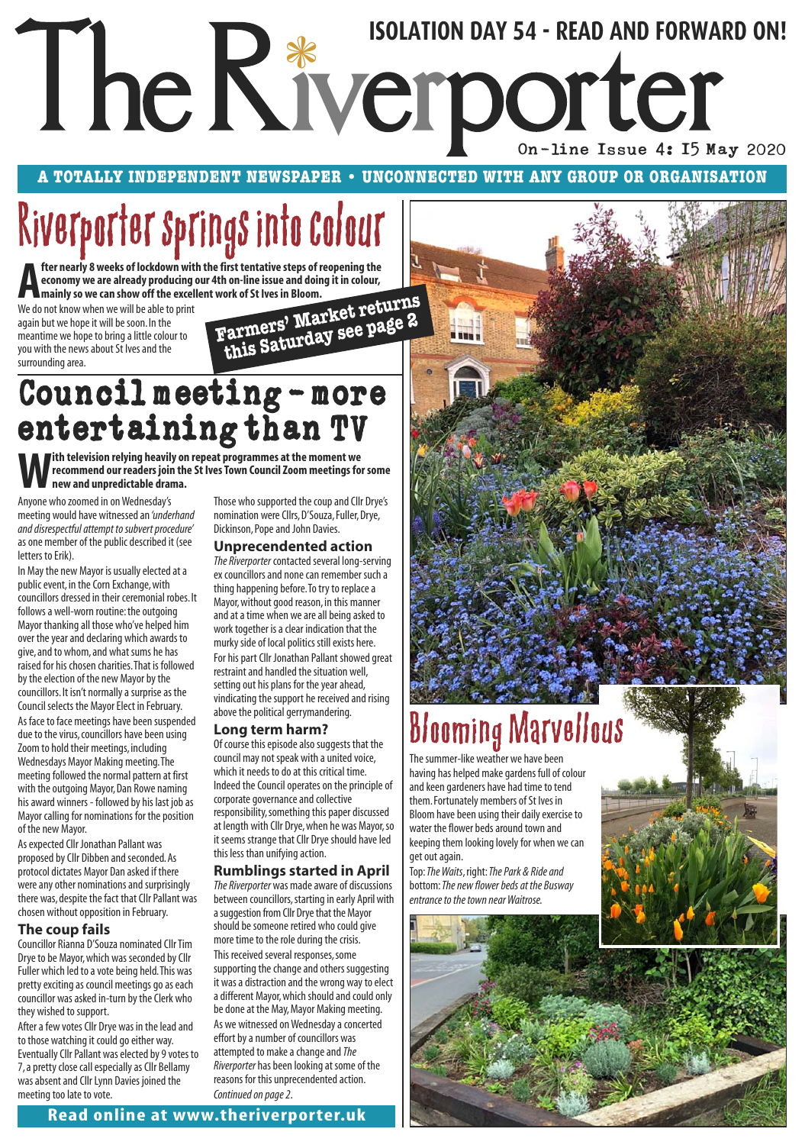# The Riverporter Superior Day 54 - READ AND FORWA On-line Issue 4: 15 May 2020 **ISOLATION DAY 54 - READ AND FORWARD ON!**

**A TOTALLY INDEPENDENT NEWSPAPER • UNCONNECTED WITH ANY GROUP OR ORGANISATION**

# Riverporter springs into colour

**A Heaven** the artive of lockdown with economy we are already producing<br>
We do not know when we will be able to print **fter nearly 8 weeks of lockdown with the first tentative steps of reopening the economy we are already producing our 4th on-line issue and doing it in colour, mainly so we can show off the excellent work of St Ives in Bloom.**

again but we hope it will be soon. In the meantime we hope to bring a little colour to you with the news about St Ives and the surrounding area.

**Farmers' Market returns this Saturday see page 2**

## Council meeting-more entertaining than TV

**With television relying heavily on repeat programmes at the moment we recommend our readers join the St Ives Town Council Zoom meetings for some new and unpredictable drama.** 

Anyone who zoomed in on Wednesday's meeting would have witnessed an *'underhand and disrespectful attempt to subvert procedure'* as one member of the public described it (see letters to Erik).

In May the new Mayor is usually elected at a public event, in the Corn Exchange, with councillors dressed in their ceremonial robes. It follows a well-worn routine: the outgoing Mayor thanking all those who've helped him over the year and declaring which awards to give, and to whom, and what sums he has raised for his chosen charities. That is followed by the election of the new Mayor by the councillors. It isn't normally a surprise as the Council selects the Mayor Elect in February.

As face to face meetings have been suspended due to the virus, councillors have been using Zoom to hold their meetings, including Wednesdays Mayor Making meeting. The meeting followed the normal pattern at first with the outgoing Mayor, Dan Rowe naming his award winners - followed by his last job as Mayor calling for nominations for the position of the new Mayor.

As expected Cllr Jonathan Pallant was proposed by Cllr Dibben and seconded. As protocol dictates Mayor Dan asked if there were any other nominations and surprisingly there was, despite the fact that Cllr Pallant was chosen without opposition in February.

## **The coup fails**

Councillor Rianna D'Souza nominated Cllr Tim Drye to be Mayor, which was seconded by Cllr Fuller which led to a vote being held. This was pretty exciting as council meetings go as each councillor was asked in-turn by the Clerk who they wished to support.

After a few votes Cllr Drye was in the lead and to those watching it could go either way. Eventually Cllr Pallant was elected by 9 votes to 7, a pretty close call especially as Cllr Bellamy was absent and Cllr Lynn Davies joined the meeting too late to vote.

Those who supported the coup and Cllr Drye's nomination were Cllrs, D'Souza, Fuller, Drye, Dickinson, Pope and John Davies.

## **Unprecendented action**

*The Riverporter* contacted several long-serving ex councillors and none can remember such a thing happening before. To try to replace a Mayor, without good reason, in this manner and at a time when we are all being asked to work together is a clear indication that the murky side of local politics still exists here. For his part Cllr Jonathan Pallant showed great restraint and handled the situation well, setting out his plans for the year ahead, vindicating the support he received and rising above the political gerrymandering.

## **Long term harm?**

Of course this episode also suggests that the council may not speak with a united voice, which it needs to do at this critical time. Indeed the Council operates on the principle of corporate governance and collective responsibility, something this paper discussed at length with Cllr Drye, when he was Mayor, so it seems strange that Cllr Drye should have led this less than unifying action.

## **Rumblings started in April**

*The Riverporter* was made aware of discussions between councillors, starting in early April with a suggestion from Cllr Drye that the Mayor should be someone retired who could give more time to the role during the crisis. This received several responses, some supporting the change and others suggesting it was a distraction and the wrong way to elect a different Mayor, which should and could only be done at the May, Mayor Making meeting. As we witnessed on Wednesday a concerted effort by a number of councillors was attempted to make a change and *The Riverporter* has been looking at some of the reasons for this unprecendented action. *Continued on page 2*.



# Blooming Marvellous

The summer-like weather we have been having has helped make gardens full of colour and keen gardeners have had time to tend them. Fortunately members of St Ives in Bloom have been using their daily exercise to water the flower beds around town and keeping them looking lovely for when we can get out again.

Top: *The Waits*, right: *The Park & Ride and* bottom: *The new flower beds at the Busway entrance to the town near Waitrose.*

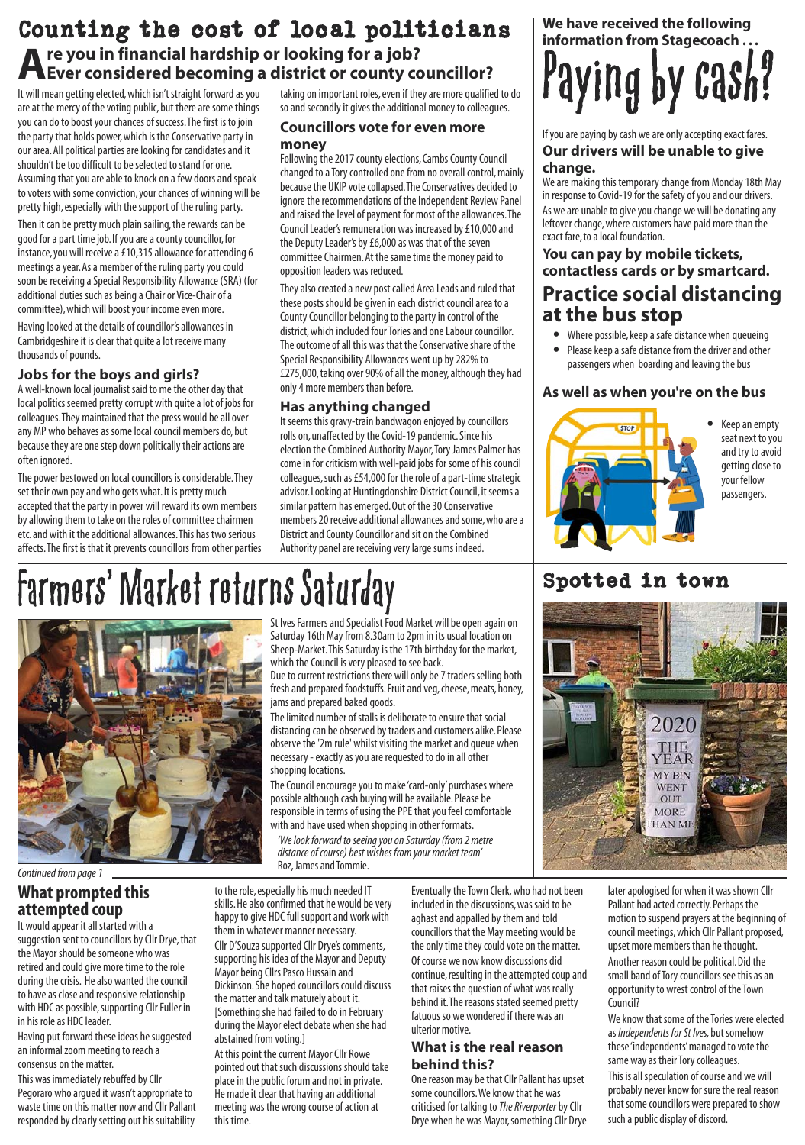## Counting the cost of local politicians **Are you in financial hardship or looking for a job? Ever considered becoming a district or county councillor?**

It will mean getting elected, which isn't straight forward as you are at the mercy of the voting public, but there are some things you can do to boost your chances of success. The first is to join the party that holds power, which is the Conservative party in our area. All political parties are looking for candidates and it shouldn't be too difficult to be selected to stand for one. Assuming that you are able to knock on a few doors and speak to voters with some conviction, your chances of winning will be pretty high, especially with the support of the ruling party.

Then it can be pretty much plain sailing, the rewards can be good for a part time job. If you are a county councillor, for instance, you will receive a £10,315 allowance for attending 6 meetings a year. As a member of the ruling party you could soon be receiving a Special Responsibility Allowance (SRA) (for additional duties such as being a Chair or Vice-Chair of a committee), which will boost your income even more.

Having looked at the details of councillor's allowances in Cambridgeshire it is clear that quite a lot receive many thousands of pounds.

## **Jobs for the boys and girls?**

A well-known local journalist said to me the other day that local politics seemed pretty corrupt with quite a lot of jobs for colleagues. They maintained that the press would be all over any MP who behaves as some local council members do, but because they are one step down politically their actions are often ignored.

The power bestowed on local councillors is considerable. They set their own pay and who gets what. It is pretty much accepted that the party in power will reward its own members by allowing them to take on the roles of committee chairmen etc. and with it the additional allowances. This has two serious affects. The first is that it prevents councillors from other parties taking on important roles, even if they are more qualified to do so and secondly it gives the additional money to colleagues.

## **Councillors vote for even more money**

Following the 2017 county elections, Cambs County Council changed to a Tory controlled one from no overall control, mainly because the UKIP vote collapsed. The Conservatives decided to ignore the recommendations of the Independent Review Panel and raised the level of payment for most of the allowances. The Council Leader's remuneration was increased by £10,000 and the Deputy Leader's by £6,000 as was that of the seven committee Chairmen. At the same time the money paid to opposition leaders was reduced.

They also created a new post called Area Leads and ruled that these posts should be given in each district council area to a County Councillor belonging to the party in control of the district, which included four Tories and one Labour councillor. The outcome of all this was that the Conservative share of the Special Responsibility Allowances went up by 282% to £275,000, taking over 90% of all the money, although they had only 4 more members than before.

## **Has anything changed**

It seems this gravy-train bandwagon enjoyed by councillors rolls on, unaffected by the Covid-19 pandemic. Since his election the Combined Authority Mayor, Tory James Palmer has come in for criticism with well-paid jobs for some of his council colleagues, such as £54,000 for the role of a part-time strategic advisor. Looking at Huntingdonshire District Council, it seems a similar pattern has emerged. Out of the 30 Conservative members 20 receive additional allowances and some, who are a District and County Councillor and sit on the Combined Authority panel are receiving very large sums indeed.

**We have received the following information from Stagecoach . . .** Paying by cash?

## If you are paying by cash we are only accepting exact fares. **Our drivers will be unable to give change.**

We are making this temporary change from Monday 18th May in response to Covid-19 for the safety of you and our drivers. As we are unable to give you change we will be donating any leftover change, where customers have paid more than the exact fare, to a local foundation.

## **You can pay by mobile tickets, contactless cards or by smartcard.**

## **Practice social distancing at the bus stop**

- Where possible, keep a safe distance when queueing
- Please keep a safe distance from the driver and other passengers when boarding and leaving the bus

## **As well as when you're on the bus**



• Keep an empty seat next to you and try to avoid getting close to your fellow passengers.

# Farmers' Market returns Saturday Spotted in town

abstained from voting.]

this time.

At this point the current Mayor Cllr Rowe pointed out that such discussions should take place in the public forum and not in private. He made it clear that having an additional meeting was the wrong course of action at



*Continued from page 1*

## **What prompted this attempted coup**

It would appear it all started with a suggestion sent to councillors by Cllr Drye, that the Mayor should be someone who was retired and could give more time to the role during the crisis. He also wanted the council to have as close and responsive relationship with HDC as possible, supporting Cllr Fuller in in his role as HDC leader.

Having put forward these ideas he suggested an informal zoom meeting to reach a consensus on the matter.

This was immediately rebuffed by Cllr Pegoraro who argued it wasn't appropriate to waste time on this matter now and Cllr Pallant responded by clearly setting out his suitability

Saturday 16th May from 8.30am to 2pm in its usual location on Sheep-Market. This Saturday is the 17th birthday for the market, which the Council is very pleased to see back. Due to current restrictions there will only be 7 traders selling both

St Ives Farmers and Specialist Food Market will be open again on

fresh and prepared foodstuffs. Fruit and veg, cheese, meats, honey, jams and prepared baked goods. The limited number of stalls is deliberate to ensure that social

distancing can be observed by traders and customers alike. Please observe the '2m rule' whilst visiting the market and queue when necessary - exactly as you are requested to do in all other shopping locations.

The Council encourage you to make 'card-only' purchases where possible although cash buying will be available. Please be responsible in terms of using the PPE that you feel comfortable with and have used when shopping in other formats.

*'We look forward to seeing you on Saturday (from 2 metre distance of course) best wishes from your market team'*  Roz, James and Tommie.



to the role, especially his much needed IT skills. He also confirmed that he would be very happy to give HDC full support and work with them in whatever manner necessary. Cllr D'Souza supported Cllr Drye's comments, supporting his idea of the Mayor and Deputy Mayor being Cllrs Pasco Hussain and Dickinson. She hoped councillors could discuss the matter and talk maturely about it. [Something she had failed to do in February during the Mayor elect debate when she had Eventually the Town Clerk, who had not been included in the discussions, was said to be aghast and appalled by them and told councillors that the May meeting would be the only time they could vote on the matter. Of course we now know discussions did continue, resulting in the attempted coup and that raises the question of what was really behind it. The reasons stated seemed pretty fatuous so we wondered if there was an ulterior motive.

### **What is the real reason behind this?**

One reason may be that Cllr Pallant has upset some councillors. We know that he was criticised for talking to *The Riverporter*by Cllr Drye when he was Mayor, something Cllr Drye

later apologised for when it was shown Cllr Pallant had acted correctly. Perhaps the motion to suspend prayers at the beginning of council meetings, which Cllr Pallant proposed, upset more members than he thought. Another reason could be political. Did the small band of Tory councillors see this as an opportunity to wrest control of the Town Council?

We know that some of the Tories were elected as *Independents for St Ives,* but somehow these 'independents' managed to vote the same way as their Tory colleagues.

This is all speculation of course and we will probably never know for sure the real reason that some councillors were prepared to show such a public display of discord.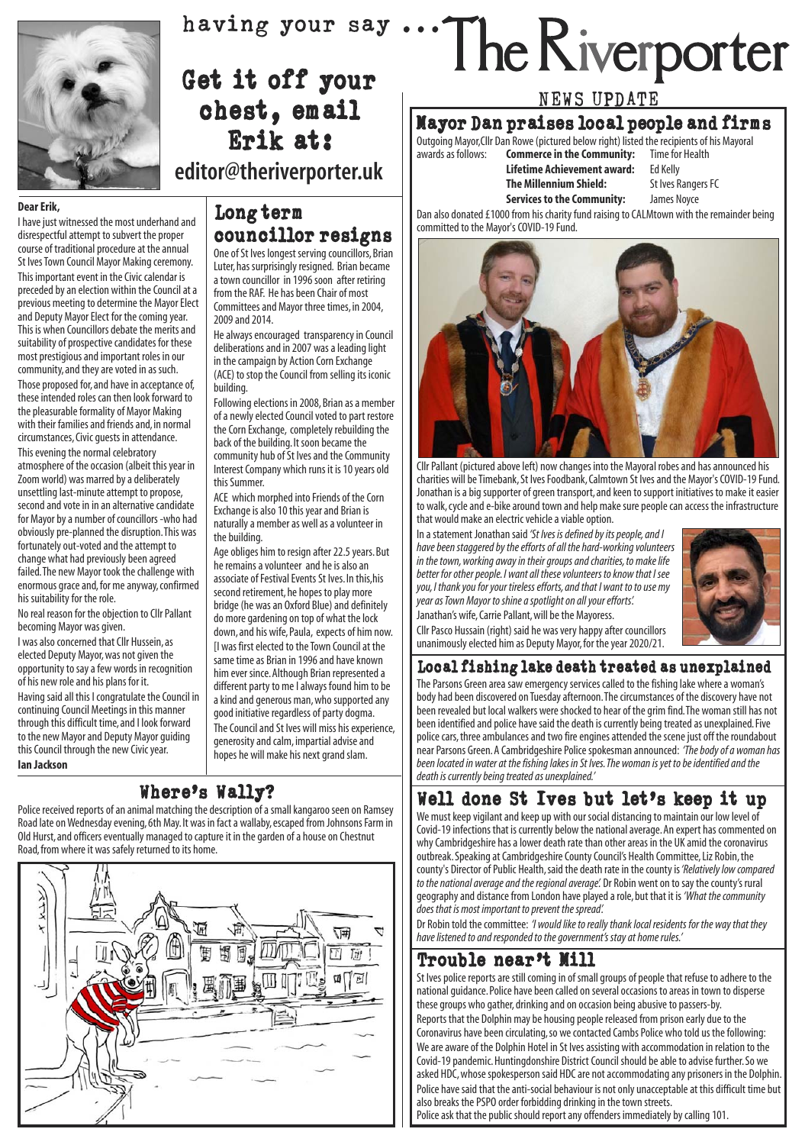

## Get it off your chest, email Erik at: **editor@theriverporter.uk**

### **Dear Erik,**

I have just witnessed the most underhand and disrespectful attempt to subvert the proper course of traditional procedure at the annual St Ives Town Council Mayor Making ceremony. This important event in the Civic calendar is preceded by an election within the Council at a previous meeting to determine the Mayor Elect and Deputy Mayor Elect for the coming year. This is when Councillors debate the merits and suitability of prospective candidates for these most prestigious and important roles in our community, and they are voted in as such. Those proposed for, and have in acceptance of, these intended roles can then look forward to the pleasurable formality of Mayor Making with their families and friends and, in normal circumstances, Civic guests in attendance. This evening the normal celebratory atmosphere of the occasion (albeit this year in Zoom world) was marred by a deliberately unsettling last-minute attempt to propose, second and vote in in an alternative candidate for Mayor by a number of councillors -who had obviously pre-planned the disruption. This was fortunately out-voted and the attempt to change what had previously been agreed failed. The new Mayor took the challenge with enormous grace and, for me anyway, confirmed

his suitability for the role. No real reason for the objection to Cllr Pallant becoming Mayor was given.

I was also concerned that Cllr Hussein, as elected Deputy Mayor, was not given the opportunity to say a few words in recognition of his new role and his plans for it.

Having said all this I congratulate the Council in continuing Council Meetings in this manner through this difficult time, and I look forward to the new Mayor and Deputy Mayor guiding this Council through the new Civic year. **Ian Jackson**

## Long term councillor resigns

One of St Ives longest serving councillors, Brian Luter, has surprisingly resigned. Brian became a town councillor in 1996 soon after retiring from the RAF. He has been Chair of most Committees and Mayor three times, in 2004, 2009 and 2014.

He always encouraged transparency in Council deliberations and in 2007 was a leading light in the campaign by Action Corn Exchange (ACE) to stop the Council from selling its iconic building.

Following elections in 2008, Brian as a member of a newly elected Council voted to part restore the Corn Exchange, completely rebuilding the back of the building. It soon became the community hub of St Ives and the Community Interest Company which runs it is 10 years old this Summer.

ACE which morphed into Friends of the Corn Exchange is also 10 this year and Brian is naturally a member as well as a volunteer in the building.

Age obliges him to resign after 22.5 years. But he remains a volunteer and he is also an associate of Festival Events St Ives. In this,his second retirement, he hopes to play more bridge (he was an Oxford Blue) and definitely do more gardening on top of what the lock down, and his wife, Paula, expects of him now. [I was first elected to the Town Council at the same time as Brian in 1996 and have known him ever since. Although Brian represented a different party to me I always found him to be a kind and generous man, who supported any good initiative regardless of party dogma. The Council and St Ives will miss his experience, generosity and calm, impartial advise and hopes he will make his next grand slam.

## Where's Wally?

Police received reports of an animal matching the description of a small kangaroo seen on Ramsey Road late on Wednesday evening, 6th May. It was in fact a wallaby, escaped from Johnsons Farm in Old Hurst, and officers eventually managed to capture it in the garden of a house on Chestnut Road, from where it was safely returned to its home.



# having your say ... The Riverporter

## NEWS UPDATE

## Mayor Dan praises local people and firms

Outgoing Mayor, Cllr Dan Rowe (pictured below right) listed the recipients of his Mayoral<br>awards as follows: **Commerce in the Community:** Time for Health **Commerce in the Community:** Time for Lifetime Achievement award: Ed Kelly

- **Lifetime Achievement award:** Ed Kelly
- **The Millennium Shield:** St Ives Range<br>**Services to the Community:** James Novce
- **Services to the Community:**

Dan also donated £1000 from his charity fund raising to CALMtown with the remainder being committed to the Mayor's COVID-19 Fund.



Cllr Pallant (pictured above left) now changes into the Mayoral robes and has announced his charities will be Timebank, St Ives Foodbank, Calmtown St Ives and the Mayor's COVID-19 Fund. Jonathan is a big supporter of green transport, and keen to support initiatives to make it easier to walk, cycle and e-bike around town and help make sure people can access the infrastructure that would make an electric vehicle a viable option.

In a statement Jonathan said *'St Ives is defined by its people, and I have been staggered by the efforts of all the hard-working volunteers in the town, working away in their groups and charities, to make life better for other people. I want all these volunteers to know that I see you, I thank you for your tireless efforts, and that I want to to use my year as Town Mayor to shine a spotlight on all your efforts'.*  Janathan's wife, Carrie Pallant, will be the Mayoress.



Cllr Pasco Hussain (right) said he was very happy after councillors unanimously elected him as Deputy Mayor, for the year 2020/21.

## Local fishing lake death treated as unexplained

The Parsons Green area saw emergency services called to the fishing lake where a woman's body had been discovered on Tuesday afternoon. The circumstances of the discovery have not been revealed but local walkers were shocked to hear of the grim find. The woman still has not been identified and police have said the death is currently being treated as unexplained. Five police cars, three ambulances and two fire engines attended the scene just off the roundabout near Parsons Green. A Cambridgeshire Police spokesman announced: *'The body of a woman has been located in water at the fishing lakes in St Ives. The woman is yet to be identified and the death is currently being treated as unexplained.'*

## Well done St Ives but let's keep it up

We must keep vigilant and keep up with our social distancing to maintain our low level of Covid-19 infections that is currently below the national average. An expert has commented on why Cambridgeshire has a lower death rate than other areas in the UK amid the coronavirus outbreak. Speaking at Cambridgeshire County Council's Health Committee, Liz Robin, the county's Director of Public Health, said the death rate in the county is*'Relatively low compared to the national average and the regional average'.* Dr Robin went on to say the county's rural geography and distance from London have played a role, but that it is *'What the community does that is most important to prevent the spread'.*

Dr Robin told the committee: *'I would like to really thank local residents for the way that they have listened to and responded to the government's stay at home rules.'*

## Trouble near't Mill

St Ives police reports are still coming in of small groups of people that refuse to adhere to the national guidance. Police have been called on several occasions to areas in town to disperse these groups who gather, drinking and on occasion being abusive to passers-by. Reports that the Dolphin may be housing people released from prison early due to the Coronavirus have been circulating, so we contacted Cambs Police who told us the following: We are aware of the Dolphin Hotel in St Ives assisting with accommodation in relation to the Covid-19 pandemic. Huntingdonshire District Council should be able to advise further. So we asked HDC, whose spokesperson said HDC are not accommodating any prisoners in the Dolphin. Police have said that the anti-social behaviour is not only unacceptable at this difficult time but also breaks the PSPO order forbidding drinking in the town streets.

Police ask that the public should report any offenders immediately by calling 101.